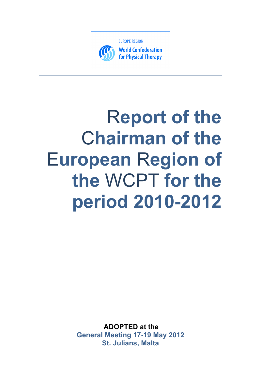

**World Confederation** for Physical Therapy

# R**eport of the**  C**hairman of the**  E**uropean** R**egion of the** WCPT **for the period 2010-2012**

**ADOPTED at the General Meeting 17-19 May 2012 St. Julians, Malta**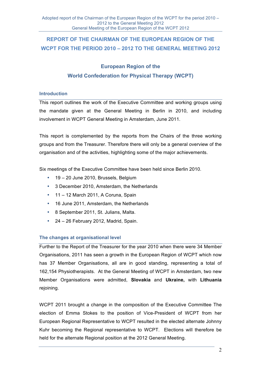# **REPORT OF THE CHAIRMAN OF THE EUROPEAN REGION OF THE WCPT FOR THE PERIOD 2010 – 2012 TO THE GENERAL MEETING 2012**

## **European Region of the World Confederation for Physical Therapy (WCPT)**

## **Introduction**

This report outlines the work of the Executive Committee and working groups using the mandate given at the General Meeting in Berlin in 2010, and including involvement in WCPT General Meeting in Amsterdam, June 2011.

This report is complemented by the reports from the Chairs of the three working groups and from the Treasurer. Therefore there will only be a general overview of the organisation and of the activities, highlighting some of the major achievements.

Six meetings of the Executive Committee have been held since Berlin 2010.

- 19 20 June 2010, Brussels, Belgium
- 3 December 2010, Amsterdam, the Netherlands
- 11 12 March 2011, A Coruna, Spain
- 16 June 2011, Amsterdam, the Netherlands
- 8 September 2011, St. Julians, Malta.
- 24 26 February 2012, Madrid, Spain.

## **The changes at organisational level**

Further to the Report of the Treasurer for the year 2010 when there were 34 Member Organisations, 2011 has seen a growth in the European Region of WCPT which now has 37 Member Organisations, all are in good standing, representing a total of 162,154 Physiotherapists. At the General Meeting of WCPT in Amsterdam, two new Member Organisations were admitted, **Slovakia** and **Ukraine,** with **Lithuania** rejoining.

WCPT 2011 brought a change in the composition of the Executive Committee The election of Emma Stokes to the position of Vice-President of WCPT from her European Regional Representative to WCPT resulted in the elected alternate Johnny Kuhr becoming the Regional representative to WCPT. Elections will therefore be held for the alternate Regional position at the 2012 General Meeting.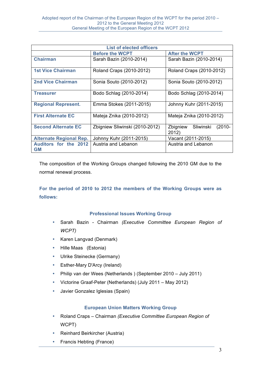| <b>List of elected officers</b>           |                                |                                             |
|-------------------------------------------|--------------------------------|---------------------------------------------|
|                                           | <b>Before the WCPT</b>         | <b>After the WCPT</b>                       |
| <b>Chairman</b>                           | Sarah Bazin (2010-2014)        | Sarah Bazin (2010-2014)                     |
| <b>1st Vice Chairman</b>                  | Roland Craps (2010-2012)       | Roland Craps (2010-2012)                    |
| <b>2nd Vice Chairman</b>                  | Sonia Souto (2010-2012)        | Sonia Souto (2010-2012)                     |
| <b>Treasurer</b>                          | Bodo Schlag (2010-2014)        | Bodo Schlag (2010-2014)                     |
| <b>Regional Represent.</b>                | Emma Stokes (2011-2015)        | Johnny Kuhr (2011-2015)                     |
| <b>First Alternate EC</b>                 | Mateja Znika (2010-2012)       | Mateja Znika (2010-2012)                    |
| <b>Second Alternate EC</b>                | Zbigniew Sliwinski (2010-2012) | Zbigniew<br>Sliwinski<br>$(2010 -$<br>2012) |
| <b>Alternate Regional Rep.</b>            | Johnny Kuhr (2011-2015)        | Vacant (2011-2015)                          |
| <b>Auditors for the 2012</b><br><b>GM</b> | Austria and Lebanon            | Austria and Lebanon                         |

The composition of the Working Groups changed following the 2010 GM due to the normal renewal process.

**For the period of 2010 to 2012 the members of the Working Groups were as follows:**

## **Professional Issues Working Group**

- Sarah Bazin Chairman *(Executive Committee European Region of WCPT)*
- Karen Langvad (Denmark)
- Hille Maas (Estonia)
- Ulrike Steinecke (Germany)
- Esther-Mary D'Arcy (Ireland)
- Philip van der Wees (Netherlands ) (September 2010 July 2011)
- Victorine Graaf-Peter (Netherlands) (July 2011 May 2012)
- Javier Gonzalez Iglesias (Spain)

## **European Union Matters Working Group**

- Roland Craps Chairman *(Executive Committee European Region of*  WCPT)
- Reinhard Beirkircher (Austria)
- Francis Hebting (France)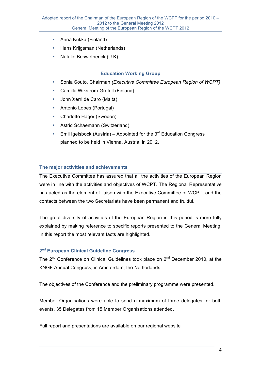- Anna Kukka (Finland)
- Hans Krijgsman (Netherlands)
- Natalie Beswetherick (U.K)

## **Education Working Group**

- Sonia Souto, Chairman *(Executive Committee European Region of WCPT)*
- Camilla Wikström-Grotell (Finland)
- John Xerri de Caro (Malta)
- Antonio Lopes (Portugal)
- Charlotte Hager (Sweden)
- Astrid Schaemann (Switzerland)
- Emil Igelsbock (Austria) Appointed for the  $3<sup>rd</sup>$  Education Congress planned to be held in Vienna, Austria, in 2012.

## **The major activities and achievements**

The Executive Committee has assured that all the activities of the European Region were in line with the activities and objectives of WCPT. The Regional Representative has acted as the element of liaison with the Executive Committee of WCPT, and the contacts between the two Secretariats have been permanent and fruitful.

The great diversity of activities of the European Region in this period is more fully explained by making reference to specific reports presented to the General Meeting. In this report the most relevant facts are highlighted.

## **2nd European Clinical Guideline Congress**

The  $2^{nd}$  Conference on Clinical Guidelines took place on  $2^{nd}$  December 2010, at the KNGF Annual Congress, in Amsterdam, the Netherlands.

The objectives of the Conference and the preliminary programme were presented.

Member Organisations were able to send a maximum of three delegates for both events. 35 Delegates from 15 Member Organisations attended.

Full report and presentations are available on our regional website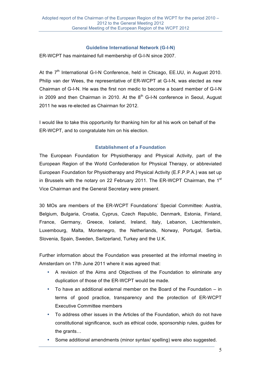## **Guideline International Network (G-I-N)**

ER-WCPT has maintained full membership of G-I-N since 2007.

At the 7<sup>th</sup> International G-I-N Conference, held in Chicago, EE.UU, in August 2010. Philip van der Wees, the representative of ER-WCPT at G-I-N, was elected as new Chairman of G-I-N. He was the first non medic to become a board member of G-I-N in 2009 and then Chairman in 2010. At the  $8<sup>th</sup>$  G-I-N conference in Seoul, August 2011 he was re-elected as Chairman for 2012.

I would like to take this opportunity for thanking him for all his work on behalf of the ER-WCPT, and to congratulate him on his election.

## **Establishment of a Foundation**

The European Foundation for Physiotherapy and Physical Activity, part of the European Region of the World Confederation for Physical Therapy, or abbreviated European Foundation for Physiotherapy and Physical Activity (E.F.P.P.A.) was set up in Brussels with the notary on 22 February 2011. The ER-WCPT Chairman, the 1<sup>st</sup> Vice Chairman and the General Secretary were present.

30 MOs are members of the ER-WCPT Foundations' Special Committee: Austria, Belgium, Bulgaria, Croatia, Cyprus, Czech Republic, Denmark, Estonia, Finland, France, Germany, Greece, Iceland, Ireland, Italy, Lebanon, Liechtenstein, Luxembourg, Malta, Montenegro, the Netherlands, Norway, Portugal, Serbia, Slovenia, Spain, Sweden, Switzerland, Turkey and the U.K.

Further information about the Foundation was presented at the informal meeting in Amsterdam on 17th June 2011 where it was agreed that:

- A revision of the Aims and Objectives of the Foundation to eliminate any duplication of those of the ER-WCPT would be made.
- To have an additional external member on the Board of the Foundation in terms of good practice, transparency and the protection of ER-WCPT Executive Committee members
- To address other issues in the Articles of the Foundation, which do not have constitutional significance, such as ethical code, sponsorship rules, guides for the grants…
- Some additional amendments (minor syntax/ spelling) were also suggested.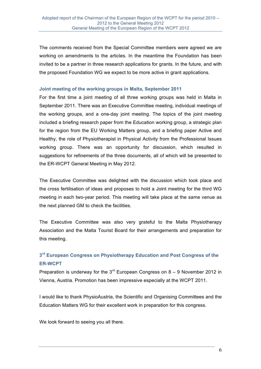The comments received from the Special Committee members were agreed we are working on amendments to the articles. In the meantime the Foundation has been invited to be a partner in three research applications for grants. In the future, and with the proposed Foundation WG we expect to be more active in grant applications.

## **Joint meeting of the working groups in Malta, September 2011**

For the first time a joint meeting of all three working groups was held in Malta in September 2011. There was an Executive Committee meeting, individual meetings of the working groups, and a one-day joint meeting. The topics of the joint meeting included a briefing research paper from the Education working group, a strategic plan for the region from the EU Working Matters group, and a briefing paper Active and Healthy, the role of Physiotherapist in Physical Activity from the Professional Issues working group. There was an opportunity for discussion, which resulted in suggestions for refinements of the three documents, all of which will be presented to the ER-WCPT General Meeting in May 2012.

The Executive Committee was delighted with the discussion which took place and the cross fertilisation of ideas and proposes to hold a Joint meeting for the third WG meeting in each two-year period. This meeting will take place at the same venue as the next planned GM to check the facilities.

The Executive Committee was also very grateful to the Malta Physiotherapy Association and the Malta Tourist Board for their arrangements and preparation for this meeting.

## **3rd European Congress on Physiotherapy Education and Post Congress of the ER-WCPT**

Preparation is underway for the  $3<sup>rd</sup>$  European Congress on 8 – 9 November 2012 in Vienna, Austria. Promotion has been impressive especially at the WCPT 2011.

I would like to thank PhysioAustria, the Scientific and Organising Committees and the Education Matters WG for their excellent work in preparation for this congress.

We look forward to seeing you all there.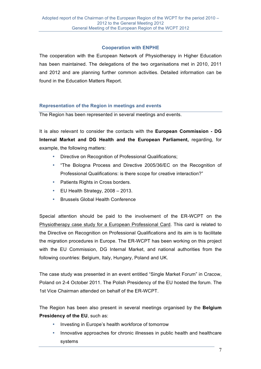## **Cooperation with ENPHE**

The cooperation with the European Network of Physiotherapy in Higher Education has been maintained. The delegations of the two organisations met in 2010, 2011 and 2012 and are planning further common activities. Detailed information can be found in the Education Matters Report.

## **Representation of the Region in meetings and events**

The Region has been represented in several meetings and events.

It is also relevant to consider the contacts with the **European Commission - DG Internal Market and DG Health and the European Parliament,** regarding, for example, the following matters:

- Directive on Recognition of Professional Qualifications;
- "The Bologna Process and Directive 2005/36/EC on the Recognition of Professional Qualifications: is there scope for creative interaction?"
- Patients Rights in Cross borders.
- EU Health Strategy, 2008 2013.
- Brussels Global Health Conference

Special attention should be paid to the involvement of the ER-WCPT on the Physiotherapy case study for a European Professional Card. This card is related to the Directive on Recognition on Professional Qualifications and its aim is to facilitate the migration procedures in Europe. The ER-WCPT has been working on this project with the EU Commission, DG Internal Market, and national authorities from the following countries: Belgium, Italy, Hungary, Poland and UK.

The case study was presented in an event entitled "Single Market Forum" in Cracow, Poland on 2-4 October 2011. The Polish Presidency of the EU hosted the forum. The 1st Vice Chairman attended on behalf of the ER-WCPT.

The Region has been also present in several meetings organised by the **Belgium Presidency of the EU**, such as:

- Investing in Europe's health workforce of tomorrow
- Innovative approaches for chronic illnesses in public health and healthcare systems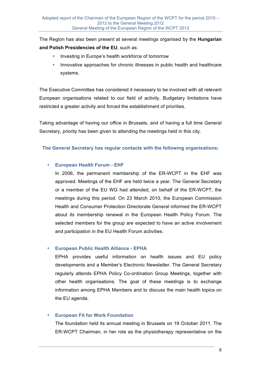The Region has also been present at several meetings organised by the **Hungarian and Polish Presidencies of the EU**, such as:

- Investing in Europe's health workforce of tomorrow
- Innovative approaches for chronic illnesses in public health and healthcare systems.

The Executive Committee has considered it necessary to be involved with all relevant European organisations related to our field of activity. Budgetary limitations have restricted a greater activity and forced the establishment of priorities.

Taking advantage of having our office in Brussels, and of having a full time General Secretary, priority has been given to attending the meetings held in this city.

## **The General Secretary has regular contacts with the following organisations:**

## • **European Health Forum - EHF**

In 2006, the permanent membership of the ER-WCPT in the EHF was approved. Meetings of the EHF are held twice a year. The General Secretary or a member of the EU WG had attended, on behalf of the ER-WCPT, the meetings during this period. On 23 March 2010, the European Commission Health and Consumer Protection Directorate General informed the ER-WCPT about its membership renewal in the European Health Policy Forum. The selected members for the group are expected to have an active involvement and participation in the EU Health Forum activities.

## • **European Public Health Alliance - EPHA**

EPHA provides useful information on health issues and EU policy developments and a Member's Electronic Newsletter. The General Secretary regularly attends EPHA Policy Co-ordination Group Meetings, together with other health organisations. The goal of these meetings is to exchange information among EPHA Members and to discuss the main health topics on the EU agenda.

## • **European Fit for Work Foundation**

The foundation held its annual meeting in Brussels on 19 October 2011. The ER-WCPT Chairman, in her role as the physiotherapy representative on the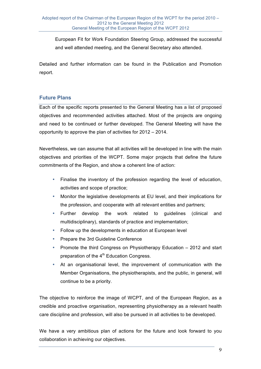European Fit for Work Foundation Steering Group, addressed the successful and well attended meeting, and the General Secretary also attended.

Detailed and further information can be found in the Publication and Promotion report.

## **Future Plans**

Each of the specific reports presented to the General Meeting has a list of proposed objectives and recommended activities attached. Most of the projects are ongoing and need to be continued or further developed. The General Meeting will have the opportunity to approve the plan of activities for 2012 – 2014.

Nevertheless, we can assume that all activities will be developed in line with the main objectives and priorities of the WCPT. Some major projects that define the future commitments of the Region, and show a coherent line of action:

- Finalise the inventory of the profession regarding the level of education, activities and scope of practice;
- Monitor the legislative developments at EU level, and their implications for the profession, and cooperate with all relevant entities and partners;
- Further develop the work related to guidelines (clinical and multidisciplinary), standards of practice and implementation;
- Follow up the developments in education at European level
- Prepare the 3rd Guideline Conference
- Promote the third Congress on Physiotherapy Education 2012 and start preparation of the 4<sup>th</sup> Education Congress.
- At an organisational level, the improvement of communication with the Member Organisations, the physiotherapists, and the public, in general, will continue to be a priority.

The objective to reinforce the image of WCPT, and of the European Region, as a credible and proactive organisation, representing physiotherapy as a relevant health care discipline and profession, will also be pursued in all activities to be developed.

We have a very ambitious plan of actions for the future and look forward to you collaboration in achieving our objectives.